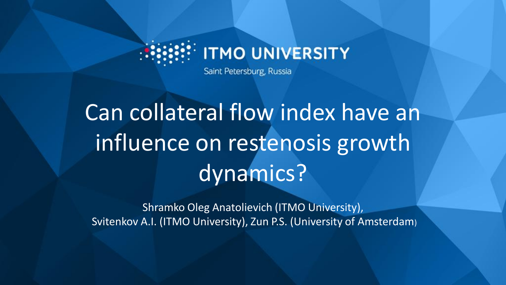

Saint Petersburg, Russia

# Can collateral flow index have an influence on restenosis growth dynamics?

Shramko Oleg Anatolievich (ITMO University), Svitenkov A.I. (ITMO University), Zun P.S. (University of Amsterdam)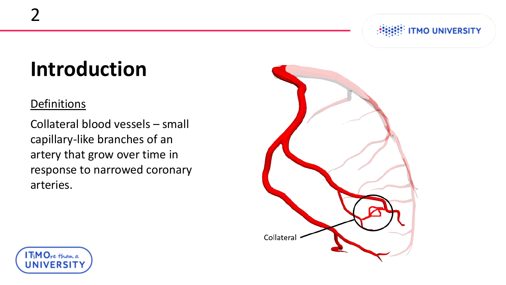

#### **Introduction**

#### **Definitions**

Collateral blood vessels – small capillary-like branches of an artery that grow over time in response to narrowed coronary arteries.



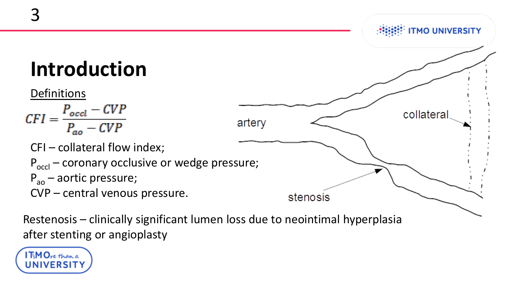

Restenosis – clinically significant lumen loss due to neointimal hyperplasia after stenting or angioplasty

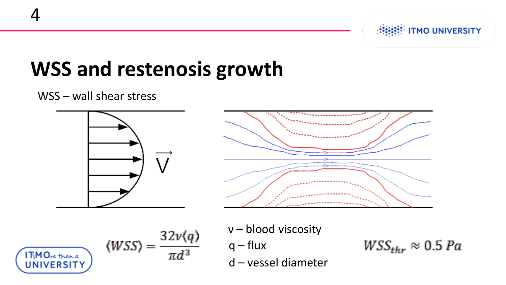UNIVERSI



#### **WSS and restenosis growth**





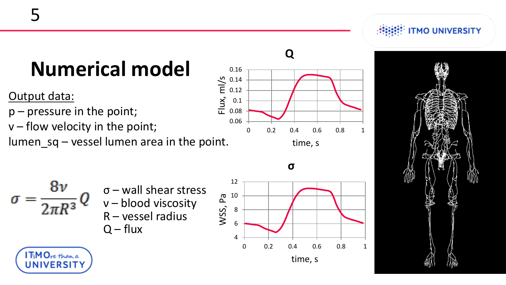# **Numerical model**

Output data:

- p pressure in the point;
- $v$  flow velocity in the point;

lumen  $sq$  – vessel lumen area in the point.



time, s



T<sub>S</sub>M Ore than a





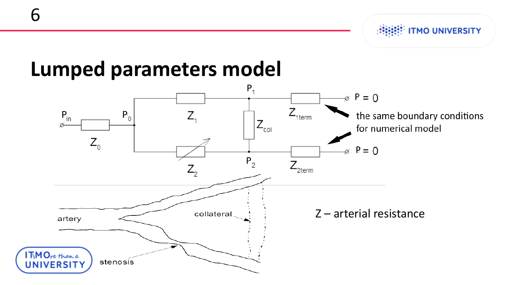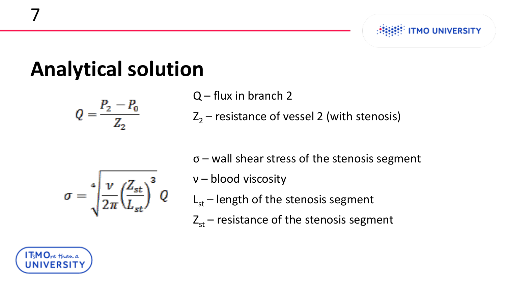### **Analytical solution**

$$
Q=\frac{P_2-P_0}{Z_2}
$$

- Q flux in branch 2
- $Z_2$  resistance of vessel 2 (with stenosis)
- σ wall shear stress of the stenosis segment



- ν blood viscosity
- $L_{ct}$  length of the stenosis segment
- $Z_{st}$  resistance of the stenosis segment



7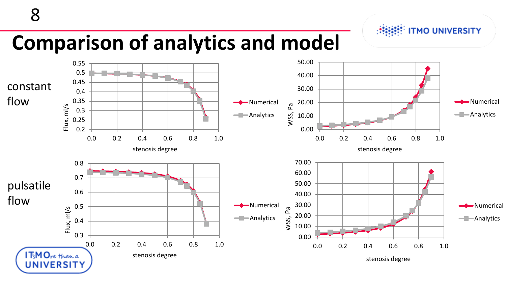# **Comparison of analytics and model**



**ITMO UNIVERSITY** 

8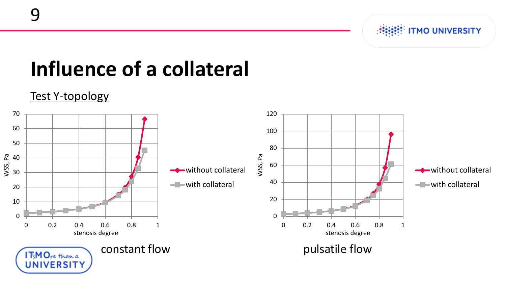#### **Influence of a collateral**

Test Y-topology

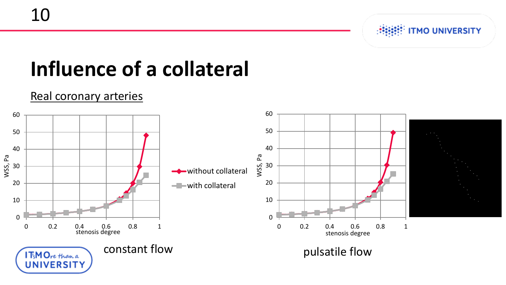

#### **Influence of a collateral**

# Real coronary arteries

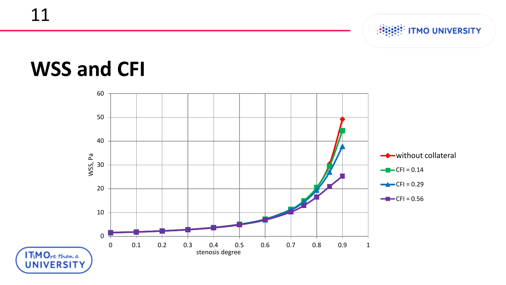11

**HEEF ITMO UNIVERSITY** 

#### **WSS and CFI**

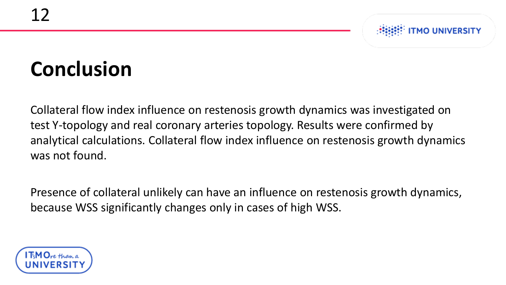### **Conclusion**

Collateral flow index influence on restenosis growth dynamics was investigated on test Y-topology and real coronary arteries topology. Results were confirmed by analytical calculations. Collateral flow index influence on restenosis growth dynamics was not found.

Presence of collateral unlikely can have an influence on restenosis growth dynamics, because WSS significantly changes only in cases of high WSS.